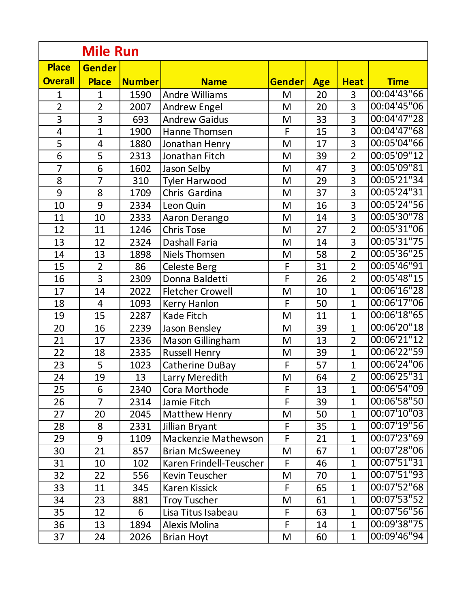| <b>Mile Run</b>          |                |               |                         |               |            |                |              |
|--------------------------|----------------|---------------|-------------------------|---------------|------------|----------------|--------------|
| <b>Place</b>             | <b>Gender</b>  |               |                         |               |            |                |              |
| <b>Overall</b>           | <b>Place</b>   | <b>Number</b> | <b>Name</b>             | <b>Gender</b> | <b>Age</b> | <b>Heat</b>    | <b>Time</b>  |
| $\mathbf{1}$             | $\mathbf{1}$   | 1590          | <b>Andre Williams</b>   | M             | 20         | 3              | 00:04'43"66  |
| $\overline{2}$           | $\overline{2}$ | 2007          | <b>Andrew Engel</b>     | M             | 20         | 3              | 00:04'45"06  |
| $\overline{3}$           | $\overline{3}$ | 693           | <b>Andrew Gaidus</b>    | M             | 33         | 3              | 00:04'47"28  |
| $\overline{\mathcal{A}}$ | $\overline{1}$ | 1900          | Hanne Thomsen           | F             | 15         | 3              | 00:04'47''68 |
| $\overline{5}$           | 4              | 1880          | Jonathan Henry          | M             | 17         | 3              | 00:05'04"66  |
| $\overline{6}$           | 5              | 2313          | Jonathan Fitch          | M             | 39         | $\overline{2}$ | 00:05'09"12  |
| $\overline{7}$           | $\overline{6}$ | 1602          | Jason Selby             | M             | 47         | 3              | 00:05'09"81  |
| 8                        | $\overline{7}$ | 310           | <b>Tyler Harwood</b>    | M             | 29         | 3              | 00:05'21"34  |
| $\overline{9}$           | 8              | 1709          | Chris Gardina           | M             | 37         | 3              | 00:05'24"31  |
| 10                       | 9              | 2334          | Leon Quin               | M             | 16         | 3              | 00:05'24"56  |
| 11                       | 10             | 2333          | Aaron Derango           | M             | 14         | 3              | 00:05'30"78  |
| 12                       | 11             | 1246          | <b>Chris Tose</b>       | M             | 27         | $\overline{2}$ | 00:05'31"06  |
| 13                       | 12             | 2324          | Dashall Faria           | M             | 14         | 3              | 00:05'31"75  |
| 14                       | 13             | 1898          | Niels Thomsen           | M             | 58         | $\overline{2}$ | 00:05'36"25  |
| 15                       | $\overline{2}$ | 86            | <b>Celeste Berg</b>     | F             | 31         | $\overline{2}$ | 00:05'46"91  |
| 16                       | 3              | 2309          | Donna Baldetti          | F             | 26         | $\overline{2}$ | 00:05'48"15  |
| 17                       | 14             | 2022          | <b>Fletcher Crowell</b> | M             | 10         | $\overline{1}$ | 00:06'16"28  |
| 18                       | $\overline{4}$ | 1093          | Kerry Hanlon            | F             | 50         | $\overline{1}$ | 00:06'17"06  |
| 19                       | 15             | 2287          | Kade Fitch              | M             | 11         | $\overline{1}$ | 00:06'18"65  |
| 20                       | 16             | 2239          | Jason Bensley           | M             | 39         | $\overline{1}$ | 00:06'20"18  |
| 21                       | 17             | 2336          | Mason Gillingham        | M             | 13         | $\overline{2}$ | 00:06'21"12  |
| 22                       | 18             | 2335          | Russell Henry           | M             | 39         | $\mathbf{1}$   | 00:06'22"59  |
| 23                       | 5              | 1023          | Catherine DuBay         | F             | 57         | $\overline{1}$ | 00:06'24"06  |
| 24                       | 19             | 13            | Larry Meredith          | M             | 64         | $\overline{2}$ | 00:06'25"31  |
| 25                       | 6              | 2340          | Cora Morthode           | F             | 13         | $\mathbf{1}$   | 00:06'54"09  |
| 26                       | $\overline{7}$ | 2314          | Jamie Fitch             | F             | 39         | 1              | 00:06'58"50  |
| 27                       | 20             | 2045          | <b>Matthew Henry</b>    | M             | 50         | $\mathbf{1}$   | 00:07'10"03  |
| 28                       | 8              | 2331          | Jillian Bryant          | $\mathsf F$   | 35         | $\mathbf{1}$   | 00:07'19"56  |
| 29                       | 9              | 1109          | Mackenzie Mathewson     | F             | 21         | 1              | 00:07'23"69  |
| 30                       | 21             | 857           | <b>Brian McSweeney</b>  | M             | 67         | $\mathbf{1}$   | 00:07'28''06 |
| 31                       | 10             | 102           | Karen Frindell-Teuscher | F             | 46         | $\mathbf{1}$   | 00:07'51"31  |
| 32                       | 22             | 556           | <b>Kevin Teuscher</b>   | M             | 70         | 1              | 00:07'51"93  |
| 33                       | 11             | 345           | <b>Karen Kissick</b>    | F             | 65         | $\mathbf{1}$   | 00:07'52"68  |
| 34                       | 23             | 881           | <b>Troy Tuscher</b>     | M             | 61         | $\mathbf{1}$   | 00:07'53"52  |
| 35                       | 12             | 6             | Lisa Titus Isabeau      | F             | 63         | 1              | 00:07'56"56  |
| 36                       | 13             | 1894          | <b>Alexis Molina</b>    | F             | 14         | $\mathbf{1}$   | 00:09'38"75  |
| 37                       | 24             | 2026          | <b>Brian Hoyt</b>       | M             | 60         | $\mathbf{1}$   | 00:09'46"94  |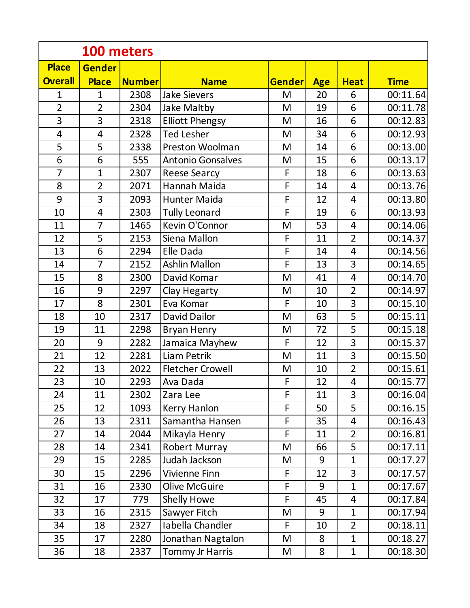|                         | 100 meters     |               |                          |               |            |                         |             |  |
|-------------------------|----------------|---------------|--------------------------|---------------|------------|-------------------------|-------------|--|
| <b>Place</b>            | <b>Gender</b>  |               |                          |               |            |                         |             |  |
| <b>Overall</b>          | <b>Place</b>   | <b>Number</b> | <b>Name</b>              | <b>Gender</b> | <b>Age</b> | <b>Heat</b>             | <b>Time</b> |  |
| $\mathbf{1}$            | $\mathbf{1}$   | 2308          | <b>Jake Sievers</b>      | M             | 20         | 6                       | 00:11.64    |  |
| $\overline{2}$          | $\overline{2}$ | 2304          | Jake Maltby              | M             | 19         | 6                       | 00:11.78    |  |
| $\overline{3}$          | 3              | 2318          | <b>Elliott Phengsy</b>   | M             | 16         | 6                       | 00:12.83    |  |
| $\overline{\mathbf{4}}$ | $\overline{4}$ | 2328          | <b>Ted Lesher</b>        | M             | 34         | 6                       | 00:12.93    |  |
| 5                       | 5              | 2338          | Preston Woolman          | M             | 14         | 6                       | 00:13.00    |  |
| 6                       | 6              | 555           | <b>Antonio Gonsalves</b> | M             | 15         | 6                       | 00:13.17    |  |
| $\overline{7}$          | $\mathbf{1}$   | 2307          | <b>Reese Searcy</b>      | F             | 18         | 6                       | 00:13.63    |  |
| 8                       | $\overline{2}$ | 2071          | Hannah Maida             | $\mathsf F$   | 14         | 4                       | 00:13.76    |  |
| 9                       | 3              | 2093          | <b>Hunter Maida</b>      | F             | 12         | 4                       | 00:13.80    |  |
| 10                      | $\overline{4}$ | 2303          | <b>Tully Leonard</b>     | F             | 19         | 6                       | 00:13.93    |  |
| 11                      | $\overline{7}$ | 1465          | Kevin O'Connor           | M             | 53         | 4                       | 00:14.06    |  |
| 12                      | 5              | 2153          | Siena Mallon             | F             | 11         | $\overline{2}$          | 00:14.37    |  |
| 13                      | 6              | 2294          | Elle Dada                | F             | 14         | $\overline{4}$          | 00:14.56    |  |
| 14                      | $\overline{7}$ | 2152          | <b>Ashlin Mallon</b>     | F             | 13         | 3                       | 00:14.65    |  |
| 15                      | 8              | 2300          | David Komar              | M             | 41         | 4                       | 00:14.70    |  |
| 16                      | 9              | 2297          | Clay Hegarty             | M             | 10         | $\overline{2}$          | 00:14.97    |  |
| 17                      | 8              | 2301          | Eva Komar                | F             | 10         | $\overline{3}$          | 00:15.10    |  |
| 18                      | 10             | 2317          | David Dailor             | M             | 63         | 5                       | 00:15.11    |  |
| 19                      | 11             | 2298          | <b>Bryan Henry</b>       | M             | 72         | 5                       | 00:15.18    |  |
| 20                      | 9              | 2282          | Jamaica Mayhew           | F             | 12         | 3                       | 00:15.37    |  |
| 21                      | 12             | 2281          | Liam Petrik              | M             | 11         | 3                       | 00:15.50    |  |
| 22                      | 13             | 2022          | <b>Fletcher Crowell</b>  | M             | 10         | $\overline{2}$          | 00:15.61    |  |
| 23                      | 10             | 2293          | Ava Dada                 | F             | 12         | $\overline{\mathbf{4}}$ | 00:15.77    |  |
| 24                      | 11             | 2302          | Zara Lee                 | F             | 11         | 3                       | 00:16.04    |  |
| 25                      | 12             | 1093          | Kerry Hanlon             | F             | 50         | 5                       | 00:16.15    |  |
| 26                      | 13             | 2311          | Samantha Hansen          | F             | 35         | 4                       | 00:16.43    |  |
| 27                      | 14             | 2044          | Mikayla Henry            | F             | 11         | $\overline{2}$          | 00:16.81    |  |
| 28                      | 14             | 2341          | Robert Murray            | M             | 66         | 5                       | 00:17.11    |  |
| 29                      | 15             | 2285          | Judah Jackson            | M             | 9          | $\mathbf{1}$            | 00:17.27    |  |
| 30                      | 15             | 2296          | Vivienne Finn            | F             | 12         | 3                       | 00:17.57    |  |
| 31                      | 16             | 2330          | <b>Olive McGuire</b>     | F             | 9          | $\mathbf{1}$            | 00:17.67    |  |
| 32                      | 17             | 779           | Shelly Howe              | F             | 45         | 4                       | 00:17.84    |  |
| 33                      | 16             | 2315          | Sawyer Fitch             | M             | 9          | $\mathbf{1}$            | 00:17.94    |  |
| 34                      | 18             | 2327          | Iabella Chandler         | $\mathsf F$   | 10         | $\overline{2}$          | 00:18.11    |  |
| 35                      | 17             | 2280          | Jonathan Nagtalon        | M             | 8          | $\mathbf{1}$            | 00:18.27    |  |
| 36                      | 18             | 2337          | Tommy Jr Harris          | M             | 8          | $\mathbf{1}$            | 00:18.30    |  |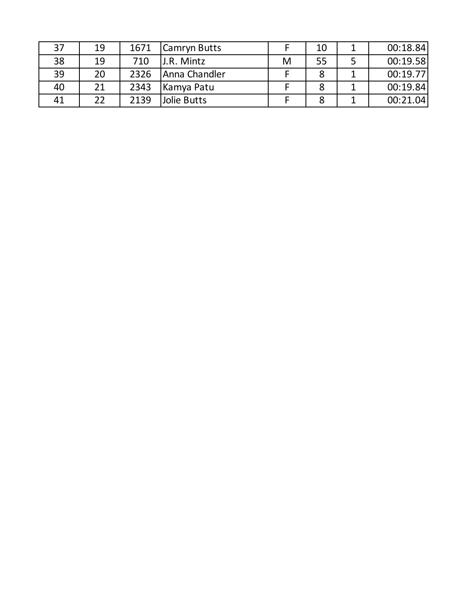| 37 | 19 | 1671 | Camryn Butts  |   | 10 | 00:18.84 |
|----|----|------|---------------|---|----|----------|
| 38 | 19 | 710  | J.R. Mintz    | M | 55 | 00:19.58 |
| 39 | 20 | 2326 | Anna Chandler |   | О  | 00:19.77 |
| 40 | 21 | 2343 | Kamya Patu    |   | 8  | 00:19.84 |
| 41 | 22 | 2139 | Jolie Butts   |   |    | 00:21.04 |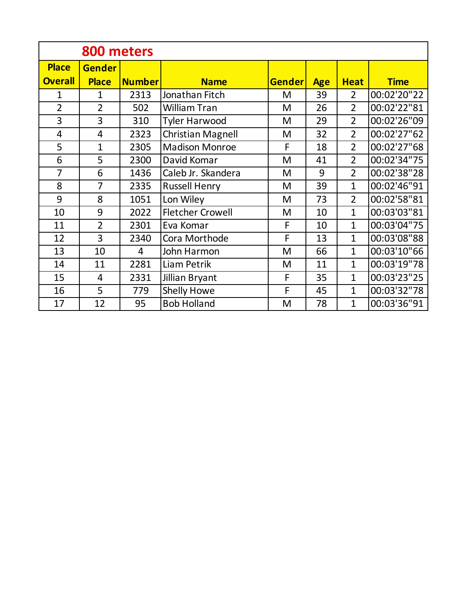| 800 meters     |                |                |                          |               |            |                |             |
|----------------|----------------|----------------|--------------------------|---------------|------------|----------------|-------------|
| <b>Place</b>   | <b>Gender</b>  |                |                          |               |            |                |             |
| <b>Overall</b> | <b>Place</b>   | Number         | <b>Name</b>              | <b>Gender</b> | <b>Age</b> | <b>Heat</b>    | <b>Time</b> |
| 1              | $\mathbf{1}$   | 2313           | Jonathan Fitch           | M             | 39         | $\overline{2}$ | 00:02'20"22 |
| $\overline{2}$ | $\overline{2}$ | 502            | <b>William Tran</b>      | M             | 26         | $\overline{2}$ | 00:02'22"81 |
| 3              | 3              | 310            | <b>Tyler Harwood</b>     | M             | 29         | $\overline{2}$ | 00:02'26"09 |
| $\overline{4}$ | $\overline{4}$ | 2323           | <b>Christian Magnell</b> | M             | 32         | $\overline{2}$ | 00:02'27"62 |
| 5              | 1              | 2305           | <b>Madison Monroe</b>    | F             | 18         | $\overline{2}$ | 00:02'27"68 |
| 6              | 5              | 2300           | David Komar              | M             | 41         | $\overline{2}$ | 00:02'34"75 |
| 7              | 6              | 1436           | Caleb Jr. Skandera       | M             | 9          | $\overline{2}$ | 00:02'38"28 |
| 8              | 7              | 2335           | <b>Russell Henry</b>     | M             | 39         | $\mathbf{1}$   | 00:02'46"91 |
| 9              | 8              | 1051           | Lon Wiley                | M             | 73         | $\overline{2}$ | 00:02'58"81 |
| 10             | 9              | 2022           | <b>Fletcher Crowell</b>  | M             | 10         | $\mathbf{1}$   | 00:03'03"81 |
| 11             | $\overline{2}$ | 2301           | Eva Komar                | F             | 10         | $\mathbf{1}$   | 00:03'04"75 |
| 12             | 3              | 2340           | Cora Morthode            | F             | 13         | $\mathbf{1}$   | 00:03'08"88 |
| 13             | 10             | $\overline{4}$ | John Harmon              | M             | 66         | $\mathbf{1}$   | 00:03'10"66 |
| 14             | 11             | 2281           | Liam Petrik              | M             | 11         | $\mathbf{1}$   | 00:03'19"78 |
| 15             | 4              | 2331           | Jillian Bryant           | F             | 35         | $\mathbf{1}$   | 00:03'23"25 |
| 16             | 5              | 779            | Shelly Howe              | F             | 45         | $\mathbf{1}$   | 00:03'32"78 |
| 17             | 12             | 95             | <b>Bob Holland</b>       | M             | 78         | $\mathbf{1}$   | 00:03'36"91 |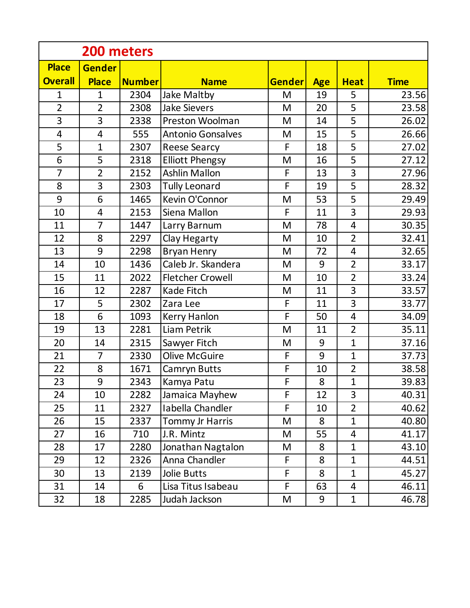|                         | 200 meters     |               |                          |               |            |                |             |  |
|-------------------------|----------------|---------------|--------------------------|---------------|------------|----------------|-------------|--|
| <b>Place</b>            | <b>Gender</b>  |               |                          |               |            |                |             |  |
| <b>Overall</b>          | <b>Place</b>   | <b>Number</b> | <b>Name</b>              | <b>Gender</b> | <b>Age</b> | <b>Heat</b>    | <b>Time</b> |  |
| $\mathbf{1}$            | $\mathbf{1}$   | 2304          | Jake Maltby              | M             | 19         | 5              | 23.56       |  |
| $\overline{2}$          | $\overline{2}$ | 2308          | <b>Jake Sievers</b>      | M             | 20         | 5              | 23.58       |  |
| 3                       | 3              | 2338          | Preston Woolman          | M             | 14         | 5              | 26.02       |  |
| $\overline{\mathbf{4}}$ | $\overline{4}$ | 555           | <b>Antonio Gonsalves</b> | M             | 15         | 5              | 26.66       |  |
| 5                       | $\mathbf{1}$   | 2307          | <b>Reese Searcy</b>      | F             | 18         | 5              | 27.02       |  |
| 6                       | 5              | 2318          | <b>Elliott Phengsy</b>   | M             | 16         | 5              | 27.12       |  |
| $\overline{7}$          | $\overline{2}$ | 2152          | Ashlin Mallon            | F             | 13         | 3              | 27.96       |  |
| 8                       | 3              | 2303          | <b>Tully Leonard</b>     | F             | 19         | 5              | 28.32       |  |
| 9                       | 6              | 1465          | Kevin O'Connor           | M             | 53         | 5              | 29.49       |  |
| 10                      | $\overline{4}$ | 2153          | Siena Mallon             | F             | 11         | 3              | 29.93       |  |
| 11                      | $\overline{7}$ | 1447          | Larry Barnum             | M             | 78         | $\overline{4}$ | 30.35       |  |
| 12                      | 8              | 2297          | Clay Hegarty             | M             | 10         | $\overline{2}$ | 32.41       |  |
| 13                      | 9              | 2298          | Bryan Henry              | M             | 72         | $\overline{4}$ | 32.65       |  |
| 14                      | 10             | 1436          | Caleb Jr. Skandera       | M             | 9          | $\overline{2}$ | 33.17       |  |
| 15                      | 11             | 2022          | <b>Fletcher Crowell</b>  | M             | 10         | $\overline{2}$ | 33.24       |  |
| 16                      | 12             | 2287          | Kade Fitch               | M             | 11         | 3              | 33.57       |  |
| 17                      | 5              | 2302          | Zara Lee                 | F             | 11         | 3              | 33.77       |  |
| 18                      | 6              | 1093          | Kerry Hanlon             | F             | 50         | $\overline{4}$ | 34.09       |  |
| 19                      | 13             | 2281          | Liam Petrik              | M             | 11         | $\overline{2}$ | 35.11       |  |
| 20                      | 14             | 2315          | Sawyer Fitch             | M             | 9          | $\mathbf{1}$   | 37.16       |  |
| 21                      | $\overline{7}$ | 2330          | <b>Olive McGuire</b>     | F             | 9          | $\mathbf{1}$   | 37.73       |  |
| 22                      | 8              | 1671          | Camryn Butts             | F             | 10         | $\overline{2}$ | 38.58       |  |
| 23                      | 9              | 2343          | Kamya Patu               | F             | 8          | $\overline{1}$ | 39.83       |  |
| 24                      | 10             | 2282          | Jamaica Mayhew           | F             | 12         | 3              | 40.31       |  |
| 25                      | 11             | 2327          | Iabella Chandler         | F             | 10         | $\overline{2}$ | 40.62       |  |
| 26                      | 15             | 2337          | Tommy Jr Harris          | M             | 8          | $\mathbf{1}$   | 40.80       |  |
| 27                      | 16             | 710           | J.R. Mintz               | M             | 55         | 4              | 41.17       |  |
| 28                      | 17             | 2280          | Jonathan Nagtalon        | M             | 8          | $\mathbf{1}$   | 43.10       |  |
| 29                      | 12             | 2326          | Anna Chandler            | F             | 8          | $\mathbf{1}$   | 44.51       |  |
| 30                      | 13             | 2139          | <b>Jolie Butts</b>       | F             | 8          | $\mathbf{1}$   | 45.27       |  |
| 31                      | 14             | 6             | Lisa Titus Isabeau       | F             | 63         | 4              | 46.11       |  |
| 32                      | 18             | 2285          | Judah Jackson            | M             | 9          | $\mathbf{1}$   | 46.78       |  |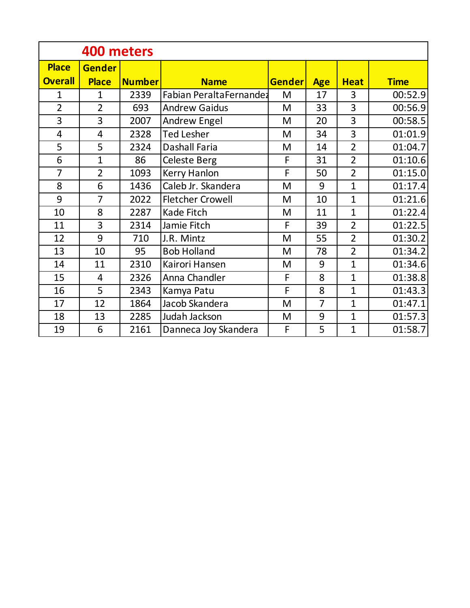| 400 meters     |                |               |                         |               |                |                |             |  |
|----------------|----------------|---------------|-------------------------|---------------|----------------|----------------|-------------|--|
| <b>Place</b>   | <b>Gender</b>  |               |                         |               |                |                |             |  |
| <b>Overall</b> | <b>Place</b>   | <b>Number</b> | <b>Name</b>             | <b>Gender</b> | <b>Age</b>     | <b>Heat</b>    | <b>Time</b> |  |
| 1              | $\mathbf{1}$   | 2339          | Fabian PeraltaFernandez | M             | 17             | 3              | 00:52.9     |  |
| $\overline{2}$ | $\overline{2}$ | 693           | <b>Andrew Gaidus</b>    | M             | 33             | 3              | 00:56.9     |  |
| 3              | 3              | 2007          | <b>Andrew Engel</b>     | M             | 20             | 3              | 00:58.5     |  |
| 4              | 4              | 2328          | <b>Ted Lesher</b>       | M             | 34             | 3              | 01:01.9     |  |
| 5              | 5              | 2324          | Dashall Faria           | M             | 14             | $\overline{2}$ | 01:04.7     |  |
| 6              | $\overline{1}$ | 86            | Celeste Berg            | F             | 31             | $\overline{2}$ | 01:10.6     |  |
| $\overline{7}$ | $\overline{2}$ | 1093          | Kerry Hanlon            | F             | 50             | $\overline{2}$ | 01:15.0     |  |
| 8              | 6              | 1436          | Caleb Jr. Skandera      | M             | 9              | $\mathbf{1}$   | 01:17.4     |  |
| 9              | $\overline{7}$ | 2022          | <b>Fletcher Crowell</b> | M             | 10             | $\mathbf{1}$   | 01:21.6     |  |
| 10             | 8              | 2287          | Kade Fitch              | M             | 11             | $\mathbf{1}$   | 01:22.4     |  |
| 11             | 3              | 2314          | Jamie Fitch             | F             | 39             | $\overline{2}$ | 01:22.5     |  |
| 12             | 9              | 710           | J.R. Mintz              | M             | 55             | $\overline{2}$ | 01:30.2     |  |
| 13             | 10             | 95            | <b>Bob Holland</b>      | M             | 78             | $\overline{2}$ | 01:34.2     |  |
| 14             | 11             | 2310          | Kairori Hansen          | M             | 9              | $\overline{1}$ | 01:34.6     |  |
| 15             | $\overline{4}$ | 2326          | Anna Chandler           | F             | 8              | $\mathbf{1}$   | 01:38.8     |  |
| 16             | 5              | 2343          | Kamya Patu              | F             | 8              | $\mathbf{1}$   | 01:43.3     |  |
| 17             | 12             | 1864          | Jacob Skandera          | M             | $\overline{7}$ | $\mathbf{1}$   | 01:47.1     |  |
| 18             | 13             | 2285          | Judah Jackson           | M             | 9              | $\overline{1}$ | 01:57.3     |  |
| 19             | 6              | 2161          | Danneca Joy Skandera    | F             | 5              | $\mathbf{1}$   | 01:58.7     |  |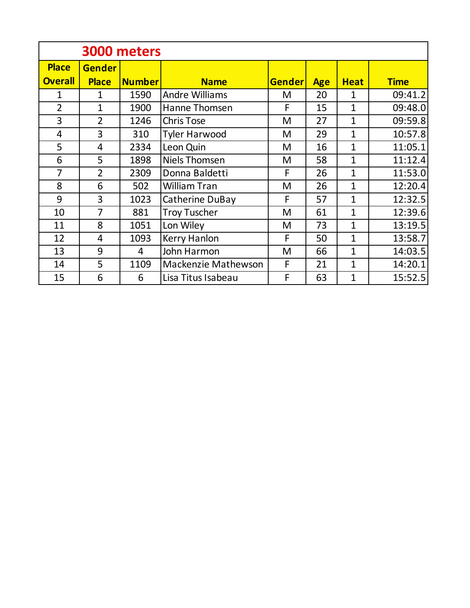|                                | 3000 meters                   |               |                            |               |            |                |             |  |  |
|--------------------------------|-------------------------------|---------------|----------------------------|---------------|------------|----------------|-------------|--|--|
| <b>Place</b><br><b>Overall</b> | <b>Gender</b><br><b>Place</b> | <b>Number</b> | <b>Name</b>                | <b>Gender</b> | <b>Age</b> | <b>Heat</b>    | <b>Time</b> |  |  |
| 1                              | 1                             | 1590          | <b>Andre Williams</b>      | M             | 20         | 1              | 09:41.2     |  |  |
| $\overline{2}$                 | $\mathbf{1}$                  | 1900          | Hanne Thomsen              | F             | 15         | 1              | 09:48.0     |  |  |
| 3                              | $\overline{2}$                | 1246          | <b>Chris Tose</b>          | M             | 27         | 1              | 09:59.8     |  |  |
| 4                              | 3                             | 310           | <b>Tyler Harwood</b>       | M             | 29         | 1              | 10:57.8     |  |  |
| 5                              | 4                             | 2334          | Leon Quin                  | M             | 16         | $\overline{1}$ | 11:05.1     |  |  |
| 6                              | 5                             | 1898          | <b>Niels Thomsen</b>       | M             | 58         | $\overline{1}$ | 11:12.4     |  |  |
| 7                              | $\overline{2}$                | 2309          | Donna Baldetti             | F             | 26         | $\overline{1}$ | 11:53.0     |  |  |
| 8                              | 6                             | 502           | William Tran               | M             | 26         | $\overline{1}$ | 12:20.4     |  |  |
| 9                              | 3                             | 1023          | Catherine DuBay            | F             | 57         | $\overline{1}$ | 12:32.5     |  |  |
| 10                             | 7                             | 881           | <b>Troy Tuscher</b>        | M             | 61         | $\overline{1}$ | 12:39.6     |  |  |
| 11                             | 8                             | 1051          | Lon Wiley                  | M             | 73         | 1              | 13:19.5     |  |  |
| 12                             | 4                             | 1093          | Kerry Hanlon               | F             | 50         | $\overline{1}$ | 13:58.7     |  |  |
| 13                             | 9                             | 4             | John Harmon                | M             | 66         | $\overline{1}$ | 14:03.5     |  |  |
| 14                             | 5                             | 1109          | <b>Mackenzie Mathewson</b> | F             | 21         | $\overline{1}$ | 14:20.1     |  |  |
| 15                             | 6                             | 6             | Lisa Titus Isabeau         | F             | 63         | 1              | 15:52.5     |  |  |